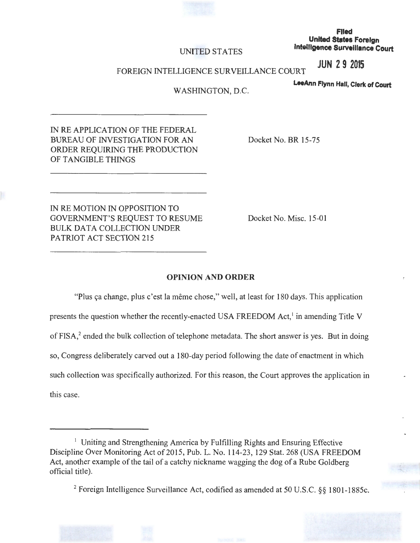

### **Flied United States Foreign Intelligence Surveillance Court**

## UNITED STATES

**JUN 2 9 2015** 

### FOREIGN INTELLIGENCE SURVEILLANCE COURT

**LeeAnn Flynn Half, Clerk of Court** 

:

# WASHINGTON, D.C.

IN REAPPLICATION OF THE FEDERAL BUREAU OF INVESTIGATION FOR AN ORDER REQUIRING THE PRODUCTION OF TANGIBLE THINGS

Docket No. BR 15-75

IN RE MOTION IN OPPOSITION TO GOVERNMENT'S REQUEST TO RESUME BULK DATA COLLECTION UNDER PATRIOT ACT SECTION 215

Docket No. Misc. 15-01

### **OPINION AND ORDER**

"Plus ça change, plus c'est la même chose," well, at least for 180 days. This application presents the question whether the recently-enacted USA FREEDOM Act, $<sup>1</sup>$  in amending Title V</sup> of FISA, $<sup>2</sup>$  ended the bulk collection of telephone metadata. The short answer is yes. But in doing</sup> so, Congress deliberately carved out a 180-day period following the date of enactment in which such collection was specifically authorized. For this reason, the Court approves the application in this case.

<sup>&</sup>lt;sup>1</sup> Uniting and Strengthening America by Fulfilling Rights and Ensuring Effective Discipline Over Monitoring Act of 2015, Pub. L. No. 114-23, 129 Stat. 268 (USA FREEDOM Act, another example of the tail of a catchy nickname wagging the dog of a Rube Goldberg official title).

<sup>2</sup> Foreign Intelligence Surveillance Act, codified as amended at 50 U.S.C. §§ 1801-1885c.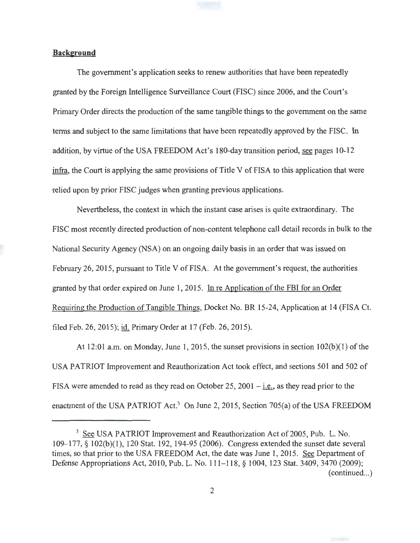

## **Background**

The government's application seeks to renew authorities that have been repeatedly granted by the Foreign Intelligence Surveillance Court (FISC) since 2006, and the Court's Primary Order directs the production of the same tangible things to the government on the same terms and subject to the same limitations that have been repeatedly approved by the FISC. In addition, by virtue of the USA FREEDOM Act's 180-day transition period, see pages 10-12 infra, the Court is applying the same provisions of Title V of FISA to this application that were relied upon by prior FISC judges when granting previous applications.

Nevertheless, the context in which the instant case arises is quite extraordinary. The FISC most recently directed production of non-content telephone call detail records in bulk to the National Security Agency (NSA) on an ongoing daily basis in an order that was issued on February 26, 2015, pursuant to Title V of FISA. At the government's request, the authorities granted by that order expired on June I, 2015. In re Application of the FBI for an Order Requiring the Production of Tangible Things, Docket No. BR 15-24, Application at 14 (FISA Ct. filed Feb. 26, 2015); id. Primary Order at 17 (Feb. 26, 2015).

At 12:01 a.m. on Monday, June 1, 2015, the sunset provisions in section  $102(b)(1)$  of the USA PATRIOT Improvement and Reauthorization Act took effect, and sections 501 and 502 of FISA were amended to read as they read on October 25, 2001  $-$  i.e., as they read prior to the enactment of the USA PATRIOT Act.<sup>3</sup> On June 2, 2015, Section 705(a) of the USA FREEDOM

<sup>&</sup>lt;sup>3</sup> See USA PATRIOT Improvement and Reauthorization Act of 2005, Pub. L. No. 109-177, § 102(b)(1), 120 Stat. 192, 194-95 (2006). Congress extended the sunset date several times, so that prior to the USA FREEDOM Act, the date was June 1, 2015. See Department of Defense Appropriations Act, 2010, Pub. L. No. 111-118, § 1004, 123 Stat. 3409, 3470 (2009);  $(continued...)$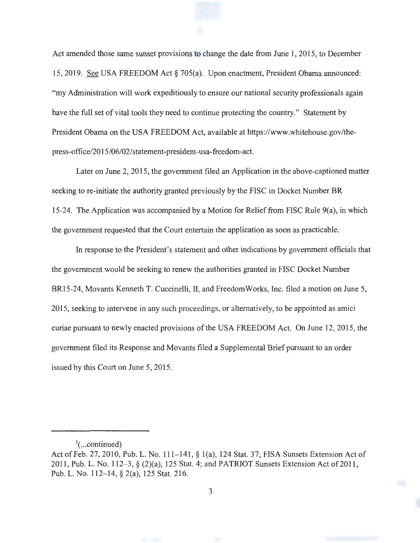Act amended those same sunset provisions to change the date from June 1, 2015, to December 15, 2019. See USA FREEDOM Act§ 705(a). Upon enactment, President Obama announced: "my Administration will work expeditiously to ensure our national security professionals again have the full set of vital tools they need to continue protecting the country." Statement by President Obama on the USA FREEDOM Act, available at https://www.whitehouse.gov/thepress-office/20 15/06/02/ statement-president-usa-freedom -act.

Later on June 2, 2015, the government filed an Application in the above-captioned matter seeking to re-initiate the authority granted previously by the FISC in Docket Number BR 15-24. The Application was accompanied by a Motion for Relief from FISC Rule 9(a), in which the government requested that the Court entertain the application as soon as practicable.

In response to the President's statement and other indications by government officials that the government would be seeking to renew the authorities granted in FISC Docket Number BR15-24, Movants Kenneth T. Cuccinelli, II, and Freedom Works, Inc. filed a motion on June 5, 2015, seeking to intervene in any such proceedings, or alternatively, to be appointed as amici curiae pursuant to newly enacted provisions of the USA FREEDOM Act. On June 12, 2015, the government filed its Response and Movants filed a Supplemental Brief pursuant to an order issued by this Court on June 5, 2015.

 $3$ (...continued)

Act of Feb. 27, 2010, Pub. L. No. 111-141, § 1(a), 124 Stat. 37; FISA Sunsets Extension Act of 2011, Pub. L. No. 112-3, § (2)(a), 125 Stat. 4; and PATRIOT Sunsets Extension Act of 2011, Pub. L. No. 112-14, § 2(a), 125 Stat. 216.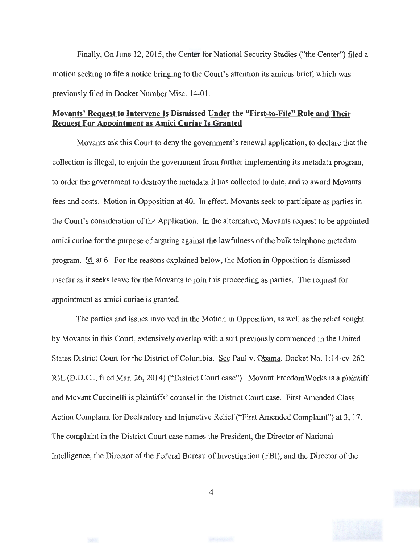Finally, On June 12, 2015, the Center for National Security Studies ("the Center") filed a motion seeking to file a notice bringing to the Court's attention its amicus brief, which was previously filed in Docket Number Misc. 14-01.

# **Movants' Request to Intervene Is Dismissed Under the "First-to-File" Rule and Their Request For Appointment as Amici Curiae Is Granted**

Movants ask this Court to deny the government's renewal application, to declare that the collection is illegal, to enjoin the government from further implementing its metadata program, to order the government to destroy the metadata it has collected to date, and to award Movants fees and costs. Motion in Opposition at 40. In effect, Movants seek to participate as parties in the Court's consideration of the Application. In the alternative, Movants request to be appointed amici curiae for the purpose of arguing against the lawfulness of the bulk telephone metadata program. Id. at 6. For the reasons explained below, the Motion in Opposition is dismissed insofar as it seeks leave for the Movants to join this proceeding as parties. The request for appointment as amici curiae is granted.

The parties and issues involved in the Motion in Opposition, as well as the relief sought by Movants in this Court, extensively overlap with a suit previously commenced in the United States District Court for the District of Columbia. See Paul v. Obama, Docket No. 1: 14-cv-262- RJL (D.D.C.., filed Mar. 26, 2014) ("District Court case"). Movant Freedom Works is a plaintiff and Movant Cuccinelli is plaintiffs' counsel in the District Court case. First Amended Class Action Complaint for Declaratory and Injunctive Relief ("First Amended Complaint") at 3, 17. The complaint in the District Court case names the President, the Director of National Intelligence, the Director of the Federal Bureau of Investigation (FBI), and the Director of the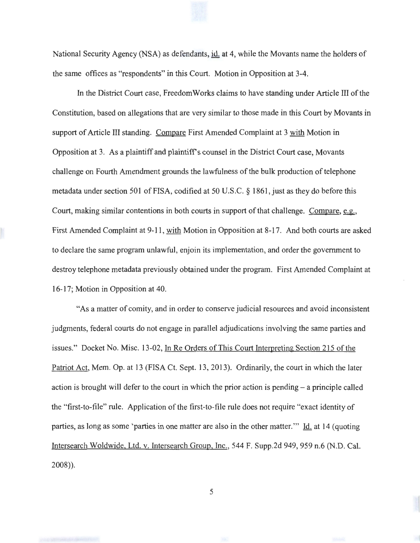National Security Agency (NSA) as defendants, id. at 4, while the Movants name the holders of the same offices as "respondents" in this Court. Motion in Opposition at 3-4.

In the District Court case, Freedom Works claims to have standing under Article III of the Constitution, based on allegations that are very similar to those made in this Court by Movants in support of Article III standing. Compare First Amended Complaint at 3 with Motion in Opposition at 3. As a plaintiff and plaintiff's counsel in the District Court case, Movants challenge on Fourth Amendment grounds the lawfulness of the bulk production of telephone metadata under section 501 of FISA, codified at 50 U.S.C.  $\S$  1861, just as they do before this Court, making similar contentions in both courts in support of that challenge. Compare, e.g., First Amended Complaint at 9-11, with Motion in Opposition at 8-17. And both courts are asked to declare the same program unlawful, enjoin its implementation, and order the government to destroy telephone metadata previously obtained under the program. First Amended Complaint at 16-17; Motion in Opposition at 40.

"As a matter of comity, and in order to conserve judicial resources and avoid inconsistent judgments, federal courts do not engage in parallel adjudications involving the same parties and issues." Docket No. Misc. 13-02, In Re Orders of This Court Interpreting Section 215 of the Patriot Act, Mem. Op. at 13 (FISA Ct. Sept. 13, 2013). Ordinarily, the court in which the later action is brought will defer to the court in which the prior action is pending- a principle called the "first-to-file" rule. Application of the first-to-file rule does not require "exact identity of parties, as long as some 'parties in one matter are also in the other matter."" Id. at 14 (quoting Intersearch Woldwide, Ltd. v. Intersearch Group, Inc., 544 F. Supp.2d 949, 959 n.6 (N.D. Cal. 2008)).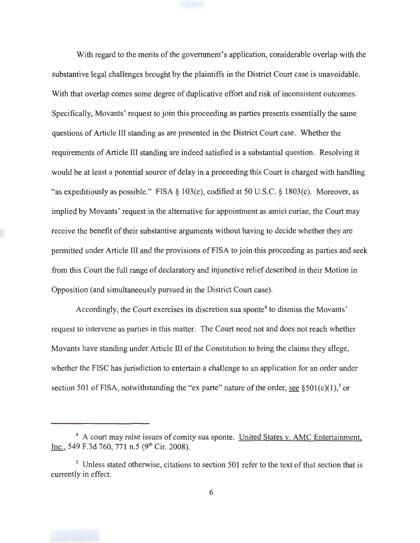With regard to the merits of the government's application, considerable overlap with the substantive legal challenges brought by the plaintiffs in the District Court case is unavoidable. With that overlap comes some degree of duplicative effort and risk of inconsistent outcomes. Specifically, Movants' request to join this proceeding as parties presents essentially the same questions of Article III standing as are presented in the District Court case. Whether the requirements of Article III standing are indeed satisfied is a substantial question. Resolving it would be at least a potential source of delay in a proceeding this Court is charged with handling "as expeditiously as possible." FISA  $\S$  103(c), codified at 50 U.S.C.  $\S$  1803(c). Moreover, as implied by Movants' request in the alternative for appointment as amici curiae, the Court may receive the benefit of their substantive arguments without having to decide whether they are permitted under Article III and the provisions of FISA to join this proceeding as parties and seek from this Court the full range of declaratory and injunctive relief described in their Motion in Opposition (and simultaneously pursued in the District Court case).

Accordingly, the Court exercises its discretion sua sponte<sup>4</sup> to dismiss the Movants' request to intervene as parties in this matter. The Court need not and does not reach whether Movants have standing under Article III of the Constitution to bring the claims they allege, whether the FISC has jurisdiction to entertain a challenge to an application for an order under section 501 of FISA, notwithstanding the "ex parte" nature of the order, see §501(c)(1),<sup>5</sup> or



<sup>4</sup> A court may raise issues of comity sua sponte. United States v. AMC Entertainment, Inc., 549 F.3d 760, 771 n.5 (9<sup>th</sup> Cir. 2008).

<sup>&</sup>lt;sup>5</sup> Unless stated otherwise, citations to section 501 refer to the text of that section that is currently in effect.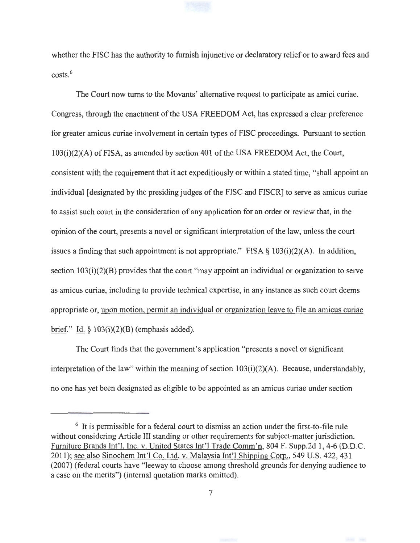whether the FISC has the authority to furnish injunctive or declaratory relief or to award fees and  $costs<sup>6</sup>$ 

The Court now turns to the Movants' alternative request to participate as amici curiae. Congress, through the enactment of the USA FREEDOM Act, has expressed a clear preference for greater amicus curiae involvement in certain types of FISC proceedings. Pursuant to section  $103(i)(2)(A)$  of FISA, as amended by section 401 of the USA FREEDOM Act, the Court, consistent with the requirement that it act expeditiously or within a stated time, "shall appoint an individual [designated by the presiding judges of the FISC and FISCR] to serve as amicus curiae to assist such court in the consideration of any application for an order or review that, in the opinion of the court, presents a novel or significant interpretation of the law, unless the court issues a finding that such appointment is not appropriate." FISA  $\S$  103(i)(2)(A). In addition, section  $103(i)(2)(B)$  provides that the court "may appoint an individual or organization to serve as amicus curiae, including to provide technical expertise, in any instance as such court deems appropriate or, upon motion, permit an individual or organization leave to file an amicus curiae brief." Id.  $\S$  103(i)(2)(B) (emphasis added).

The Court finds that the government's application "presents a novel or significant interpretation of the law" within the meaning of section  $103(i)(2)(A)$ . Because, understandably, no one has yet been designated as eligible to be appointed as an amicus curiae under section

 $6$  It is permissible for a federal court to dismiss an action under the first-to-file rule without considering Article Ill standing or other requirements for subject-matter jurisdiction. Furniture Brands Int'l, Inc. v. United States Int'l Trade Comm'n, 804 F. Supp.2d 1, 4-6 (D.D.C. 2011); see also Sinochem Int'l Co. Ltd. v. Malaysia Int'l Shipping Corp., 549 U.S. 422, 431 (2007) (federal courts have "leeway to choose among threshold grounds for denying audience to a case on the merits") (internal quotation marks omitted).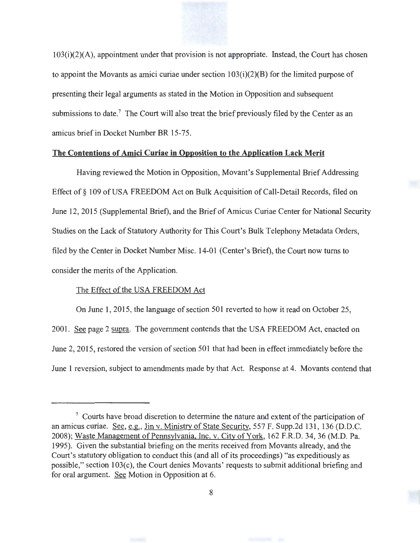1 03(i)(2)(A), appointment under that provision is not appropriate. Instead, the Court has chosen to appoint the Movants as amici curiae under section  $103(i)(2)(B)$  for the limited purpose of presenting their legal arguments as stated in the Motion in Opposition and subsequent submissions to date.<sup>7</sup> The Court will also treat the brief previously filed by the Center as an amicus brief in Docket Number BR 15-75.

### **The Contentions of Amici Curiae in Opposition to the Application Lack Merit**

Having reviewed the Motion in Opposition, Movant's Supplemental Brief Addressing Effect of § 109 of USA FREEDOM Act on Bulk Acquisition of Call-Detail Records, filed on June 12, 2015 (Supplemental Brief), and the Brief of Amicus Curiae Center for National Security Studies on the Lack of Statutory Authority for This Court's Bulk Telephony Metadata Orders, filed by the Center in Docket Number Misc. 14-01 (Center's Brief), the Court now turns to consider the merits of the Application.

### The Effect of the USA FREEDOM Act

On June 1, 2015, the language of section 501 reverted to how it read on October 25, 2001. See page 2 supra. The government contends that the USA FREEDOM Act, enacted on June 2, 2015, restored the version of section 501 that had been in effect immediately before the June 1 reversion, subject to amendments made by that Act. Response at 4. Movants contend that



<sup>7</sup> Courts have broad discretion to determine the nature and extent of the participation of an amicus curiae. See, e.g., Jin v. Ministry of State Security, 557 F. Supp.2d 131, 136 (D.D.C. 2008); Waste Management of Pennsylvania, Inc. v. City of York, 162 F.R.D. 34, 36 (M.D. Pa. 1995). Given the substantial briefing on the merits received from Movants already, and the Court's statutory obligation to conduct this (and all of its proceedings) "as expeditiously as possible," section 103(c), the Court denies Movants' requests to submit additional briefing and for oral argument. See Motion in Opposition at 6.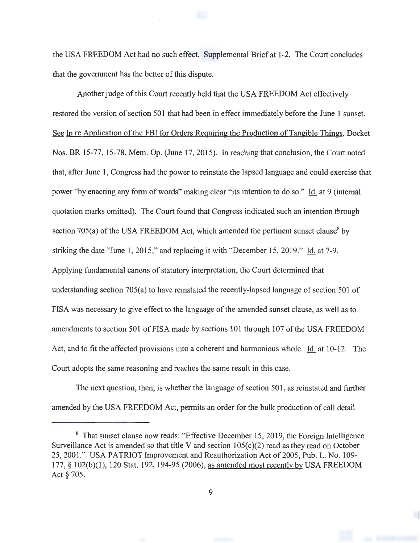the USA FREEDOM Act had no such effect. Supplemental Brief at 1-2. The Court concludes that the government has the better of this dispute.

Another judge of this Court recently held that the USA FREEDOM Act effectively restored the version of section 501 that had been in effect immediately before the June 1 sunset. See In re Application of the FBI for Orders Requiring the Production of Tangible Things, Docket Nos. BR 15-77, 15-78, Mem. Op. (June 17, 2015). In reaching that conclusion, the Court noted that, after June 1, Congress had the power to reinstate the lapsed language and could exercise that power "by enacting any form of words" making clear "its intention to do so." Id. at 9 (internal quotation marks omitted). The Court found that Congress indicated such an intention through section 705(a) of the USA FREEDOM Act, which amended the pertinent sunset clause<sup>8</sup> by striking the date "June 1, 2015," and replacing it with "December 15, 2019." Id. at 7-9. Applying fundamental canons of statutory interpretation, the Court determined that understanding section 705(a) to have reinstated the recently-lapsed language of section 501 of FISA was necessary to give effect to the language of the amended sunset clause, as well as to amendments to section 501 ofFISA made by sections 101 through 107 of the USA FREEDOM Act, and to fit the affected provisions into a coherent and harmonious whole. Id. at  $10-12$ . The Court adopts the same reasoning and reaches the same result in this case.

The next question, then, is whether the language of section 501 , as reinstated and further amended by the USA FREEDOM Act, permits an order for the bulk production of call detail

<sup>&</sup>lt;sup>8</sup> That sunset clause now reads: "Effective December 15, 2019, the Foreign Intelligence Surveillance Act is amended so that title V and section  $105(c)(2)$  read as they read on October 25, 2001." USA PATRIOT Improvement and Reauthorization Act of 2005, Pub. L. No. 109-177, § 102(b)(1), 120 Stat. 192, 194-95 (2006), as amended most recently by USA FREEDOM Act§ 705.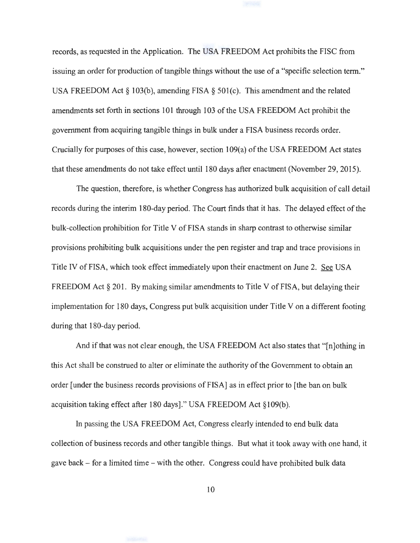records, as requested in the Application. The USA FREEDOM Act prohibits the FISC from issuing an order for production of tangible things without the use of a "specific selection term." USA FREEDOM Act§ 103(b), amending FISA § 501(c). This amendment and the related amendments set forth in sections 101 through 103 of the USA FREEDOM Act prohibit the government from acquiring tangible things in bulk under a FISA business records order. Crucially for purposes of this case, however, section 109(a) of the USA FREEDOM Act states that these amendments do not take effect until 180 days after enactment (November 29, 2015).

The question, therefore, is whether Congress has authorized bulk acquisition of call detail records during the interim 180-day period. The Court finds that it has. The delayed effect of the bulk-collection prohibition for Title V of FISA stands in sharp contrast to otherwise similar provisions prohibiting bulk acquisitions under the pen register and trap and trace provisions in Title IV of FISA, which took effect immediately upon their enactment on June 2. See USA FREEDOM Act  $\S 201$ . By making similar amendments to Title V of FISA, but delaying their implementation for 180 days, Congress put bulk acquisition under Title V on a different footing during that 180-day period.

And if that was not clear enough, the USA FREEDOM Act also states that "[n]othing in this Act shall be construed to alter or eliminate the authority of the Government to obtain an order [under the business records provisions of FISA] as in effect prior to [the ban on bulk acquisition taking effect after 180 days]." USA FREEDOM Act §109(b).

In passing the USA FREEDOM Act, Congress clearly intended to end bulk data collection of business records and other tangible things. But what it took away with one hand, it gave back - for a limited time - with the other. Congress could have prohibited bulk data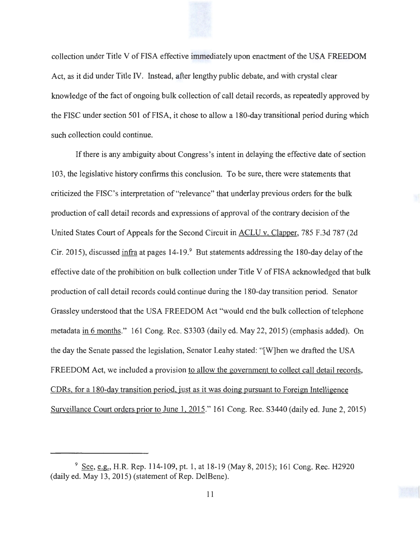

collection under Title V of FISA effective immediately upon enactment of the USA FREEDOM Act, as it did under Title IV. Instead, after lengthy public debate, and with crystal clear knowledge of the fact of ongoing bulk collection of call detail records, as repeatedly approved by the FISC under section 501 of FISA, it chose to allow a 180-day transitional period during which such collection could continue.

If there is any ambiguity about Congress's intent in delaying the effective date of section 103, the legislative history confirms this conclusion. To be sure, there were statements that criticized the FISC's interpretation of"relevance" that underlay previous orders for the bulk production of call detail records and expressions of approval of the contrary decision of the United States Court of Appeals for the Second Circuit in ACLU v. Clapper, 785 F.3d 787 (2d Cir. 2015), discussed infra at pages  $14-19.9$  But statements addressing the 180-day delay of the effective date of the prohibition on bulk collection under Title V of FISA acknowledged that bulk production of call detail records could continue during the 180-day transition period. Senator Grassley understood that the USA FREEDOM Act "would end the bulk collection of telephone metadata in 6 months." 161 Cong. Rec. S3303 (daily ed. May 22, 2015) (emphasis added). On the day the Senate passed the legislation, Senator Leahy stated: "[W]hen we drafted the USA FREEDOM Act, we included a provision to allow the government to collect call detail records, CDRs, for a 180-day transition period, just as it was doing pursuant to Foreign Intelligence Surveillance Court orders prior to June l, 2015." 161 Cong. Rec. S3440 (daily ed. June 2, 2015)

<sup>&</sup>lt;sup>9</sup> See, e.g., H.R. Rep. 114-109, pt. 1, at 18-19 (May 8, 2015); 161 Cong. Rec. H2920  $(daily ed. May 13, 2015)$  (statement of Rep. DelBene).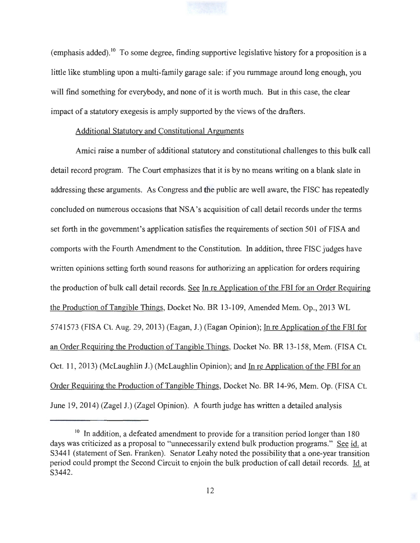(emphasis added).<sup>10</sup> To some degree, finding supportive legislative history for a proposition is a little like stumbling upon a multi-family garage sale: if you rummage around long enough, you will find something for everybody, and none of it is worth much. But in this case, the clear impact of a statutory exegesis is amply supported by the views of the drafters.

### Additional Statutory and Constitutional Arguments

Amici raise a number of additional statutory and constitutional challenges to this bulk call detail record program. The Court emphasizes that it is by no means writing on a blank slate in addressing these arguments. As Congress and the public are well aware, the FISC has repeatedly concluded on numerous occasions that NSA's acquisition of call detail records under the terms set forth in the government's application satisfies the requirements of section 501 of FISA and comports with the Fourth Amendment to the Constitution. In addition, three FISC judges have written opinions setting forth sound reasons for authorizing an application for orders requiring the production of bulk call detail records. See In re Application of the FBI for an Order Requiring the Production of Tangible Things, Docket No. BR 13-109, Amended Mem. Op., 2013 WL 5741573 (FISA Ct. Aug. 29, 2013) (Eagan, J.) (Eagan Opinion); In re Application of the FBI for an Order Requiring the Production of Tangible Things, Docket No. BR 13-158, Mem. (FISA Ct. Oct. 11, 2013) (McLaughlin J.) (McLaughlin Opinion); and In re Application of the FBI for an Order Requiring the Production of Tangible Things, Docket No. BR 14-96, Mem. Op. (FISA Ct. June 19, 2014) (Zagel J.) (Zagel Opinion). A fourth judge has written a detailed analysis

 $10$  In addition, a defeated amendment to provide for a transition period longer than 180 days was criticized as a proposal to "unnecessarily extend bulk production programs." See id. at S3441 (statement of Sen. Franken). Senator Leahy noted the possibility that a one-year transition period could prompt the Second Circuit to enjoin the bulk production of call detail records. Id. at S3442.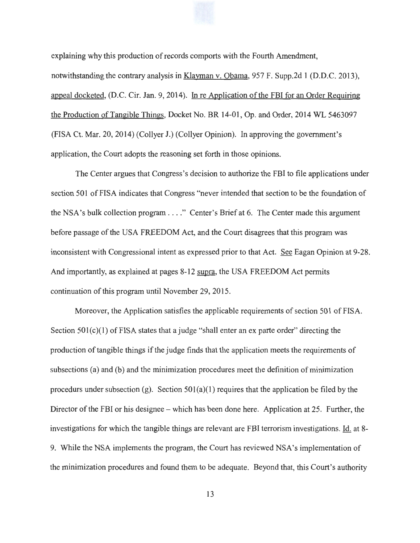explaining why this production of records comports with the Fourth Amendment, notwithstanding the contrary analysis in Klayman v. Obama, 957 F. Supp.2d 1 (D.D.C. 2013), appeal docketed, (D.C. Cir. Jan. 9, 2014). In re Application of the FBI for an Order Requiring the Production of Tangible Things, Docket No. BR 14-01 , Op. and Order, 2014 WL 5463097 (FISA Ct. Mar. 20, 2014) (Collyer J.) (Collyer Opinion). In approving the government's application, the Court adopts the reasoning set forth in those opinions.

The Center argues that Congress's decision to authorize the FBI to file applications under section 501 of FISA indicates that Congress "never intended that section to be the foundation of the NSA's bulk collection program . .. . " Center's Brief at 6. The Center made this argument before passage of the USA FREEDOM Act, and the Court disagrees that this program was inconsistent with Congressional intent as expressed prior to that Act. See Eagan Opinion at 9-28. And importantly, as explained at pages 8-12 supra, the USA FREEDOM Act permits continuation of this program until November 29, 2015.

Moreover, the Application satisfies the applicable requirements of section 501 of FISA. Section  $501(c)(1)$  of FISA states that a judge "shall enter an ex parte order" directing the production of tangible things if the judge finds that the application meets the requirements of subsections (a) and (b) and the minimization procedures meet the definition of minimization procedurs under subsection (g). Section  $501(a)(1)$  requires that the application be filed by the Director of the FBI or his designee- which has been done here. Application at 25. Further, the investigations for which the tangible things are relevant are FBI terrorism investigations. ld. at 8- 9. While the NSA implements the program, the Court has reviewed NSA's implementation of the minimization procedures and found them to be adequate. Beyond that, this Court's authority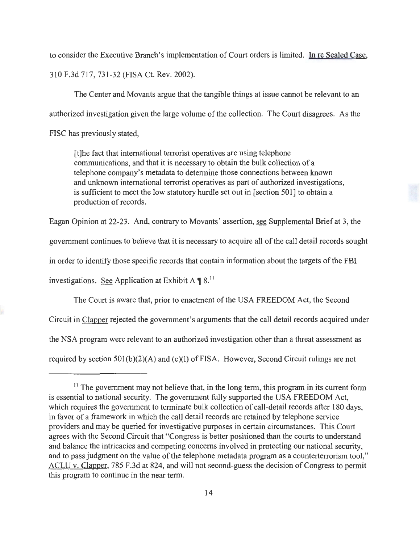to consider the Executive Branch's implementation of Court orders is limited. In re Sealed Case, 310 F.3d 717, 731-32 (FISA Ct. Rev. 2002).

The Center and Movants argue that the tangible things at issue cannot be relevant to an authorized investigation given the large volume of the collection. The Court disagrees. As the

FISC has previously stated,

[t]he fact that international terrorist operatives are using telephone communications, and that it is necessary to obtain the bulk collection of a telephone company's metadata to determine those connections between known and unknown international terrorist operatives as part of authorized investigations, is sufficient to meet the low statutory hurdle set out in [section 501] to obtain a production of records.

Eagan Opinion at 22-23. And, contrary to Movants' assertion, see Supplemental Brief at 3, the

government continues to believe that it is necessary to acquire all of the call detail records sought

in order to identify those specific records that contain information about the targets of the FBI

investigations. See Application at Exhibit A  $\P$  8.<sup>11</sup>

The Court is aware that, prior to enactment of the USA FREEDOM Act, the Second Circuit in Clapper rejected the government's arguments that the call detail records acquired under the NSA program were relevant to an authorized investigation other than a threat assessment as required by section  $501(b)(2)(A)$  and (c)(1) of FISA. However, Second Circuit rulings are not

<sup>&</sup>lt;sup>11</sup> The government may not believe that, in the long term, this program in its current form is essential to national security. The government fully supported the USA FREEDOM Act, which requires the government to terminate bulk collection of call-detail records after 180 days, in favor of a framework in which the call detail records are retained by telephone service providers and may be queried for investigative purposes in certain circumstances. This Court agrees with the Second Circuit that "Congress is better positioned than the courts to understand and balance the intricacies and competing concerns involved in protecting our national security, and to pass judgment on the value of the telephone metadata program as a counterterrorism tool," ACLU v. Clapper, 785 F.3d at 824, and will not second-guess the decision of Congress to permit this program to continue in the near term.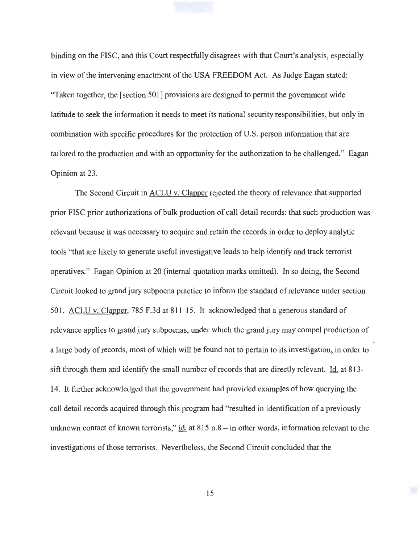

binding on the FISC, and this Court respectfully disagrees with that Court's analysis, especially in view of the intervening enactment of the USA FREEDOM Act. As Judge Eagan stated: "Taken together, the [section 501] provisions are designed to permit the government wide latitude to seek the information it needs to meet its national security responsibilities, but only in combination with specific procedures for the protection of U.S. person information that are tailored to the production and with an opportunity for the authorization to be challenged." Eagan Opinion at 23.

The Second Circuit in ACLU v. Clapper rejected the theory of relevance that supported prior FISC prior authorizations of bulk production of call detail records: that such production was relevant because it was necessary to acquire and retain the records in order to deploy analytic tools "that are likely to generate useful investigative leads to help identify and track terrorist operatives." Eagan Opinion at 20 (internal quotation marks omitted). In so doing, the Second Circuit looked to grand jury subpoena practice to inform the standard of relevance under section 501. ACLU v. Clapper, 785 F.3d at 811-15. It acknowledged that a generous standard of relevance applies to grand jury subpoenas, under which the grand jury may compel production of a large body of records, most of which will be found not to pertain to its investigation, in order to sift through them and identify the small number of records that are directly relevant. Id. at 813- 14. It further acknowledged that the government had provided examples of how querying the call detail records acquired through this program had "resulted in identification of a previously unknown contact of known terrorists,"  $\underline{\text{id}}$  at 815 n.8 - in other words, information relevant to the investigations of those terrorists. Nevertheless, the Second Circuit concluded that the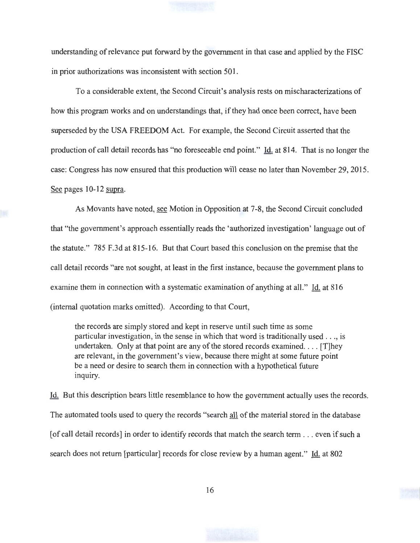understanding of relevance put forward by the government in that case and applied by the FISC in prior authorizations was inconsistent with section 501.

To a considerable extent, the Second Circuit's analysis rests on mischaracterizations of how this program works and on understandings that, if they had once been correct, have been superseded by the USA FREEDOM Act. For example, the Second Circuit asserted that the production of call detail records has "no foreseeable end point." Id. at 814. That is no longer the case: Congress has now ensured that this production will cease no later than November 29, 2015. See pages 10-12 supra.

As Movants have noted, see Motion in Opposition at 7-8, the Second Circuit concluded that "the government's approach essentially reads the 'authorized investigation' language out of the statute." 785 F.3d at 815-16. But that Court based this conclusion on the premise that the call detail records "are not sought, at least in the first instance, because the government plans to examine them in connection with a systematic examination of anything at all." Id. at 816 (internal quotation marks omitted). According to that Court,

the records are simply stored and kept in reserve until such time as some particular investigation, in the sense in which that word is traditionally used ... , is undertaken. Only at that point are any of the stored records examined ... . (T]hey are relevant, in the government's view, because there might at some future point be a need or desire to search them in connection with a hypothetical future inquiry.

Id. But this description bears little resemblance to how the government actually uses the records. The automated tools used to query the records "search all of the material stored in the database [of call detail records] in order to identify records that match the search term . .. even if such a search does not return [particular] records for close review by a human agent." Id. at 802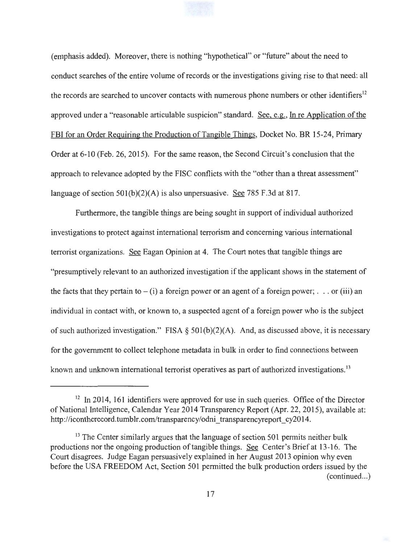(emphasis added). Moreover, there is nothing "hypothetical" or "future" about the need to conduct searches of the entire volume of records or the investigations giving rise to that need: all the records are searched to uncover contacts with numerous phone numbers or other identifiers<sup>12</sup> approved under a "reasonable articulable suspicion" standard. See, e.g., In re Application of the FBI for an Order Requiring the Production of Tangible Things, Docket No. BR 15-24, Primary Order at 6-10 (Feb. 26, 2015). For the same reason, the Second Circuit's conclusion that the approach to relevance adopted by the FISC conflicts with the "other than a threat assessment" language of section  $501(b)(2)(A)$  is also unpersuasive. See 785 F.3d at 817.

Furthermore, the tangible things are being sought in support of individual authorized investigations to protect against international terrorism and concerning various international terrorist organizations. See Eagan Opinion at 4. The Court notes that tangible things are "presumptively relevant to an authorized investigation if the applicant shows in the statement of the facts that they pertain to  $- (i)$  a foreign power or an agent of a foreign power; ... or (iii) an individual in contact with, or known to, a suspected agent of a foreign power who is the subject of such authorized investigation." FISA §  $501(b)(2)(A)$ . And, as discussed above, it is necessary for the government to collect telephone metadata in bulk in order to find connections between known and unknown international terrorist operatives as part of authorized investigations.<sup>13</sup>

 $12$  In 2014, 161 identifiers were approved for use in such queries. Office of the Director of National Intelligence, Calendar Year 2014 Transparency Report (Apr. 22, 2015), available at: http://icontherecord.tumblr.com/transparency/odni transparencyreport cy2014.

<sup>&</sup>lt;sup>13</sup> The Center similarly argues that the language of section 501 permits neither bulk productions nor the ongoing production of tangible things. See Center's Brief at 13-16. The Court disagrees. Judge Eagan persuasively explained in her August 2013 opinion why even before the USA FREEDOM Act, Section 501 permitted the bulk production orders issued by the  $(continued...)$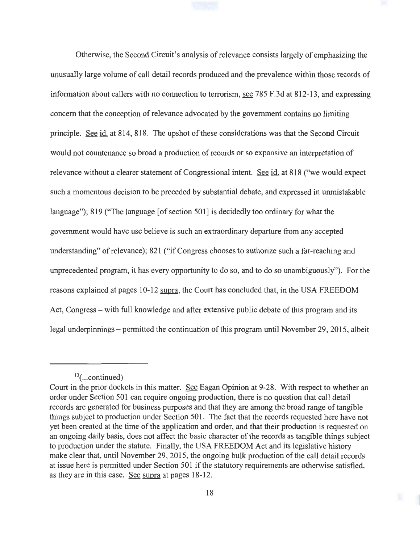Otherwise, the Second Circuit's analysis of relevance consists largely of emphasizing the unusually large volume of call detail records produced and the prevalence within those records of information about callers with no connection to terrorism, see 785 F.3d at 812-13, and expressing concern that the conception of relevance advocated by the government contains no limiting principle. See id. at 814, 818. The upshot of these considerations was that the Second Circuit would not countenance so broad a production of records or so expansive an interpretation of relevance without a clearer statement of Congressional intent. See id. at 818 ("we would expect such a momentous decision to be preceded by substantial debate, and expressed in unmistakable language"); 819 ("The language [of section 501] is decidedly too ordinary for what the government would have use believe is such an extraordinary departure from any accepted understanding" of relevance); 821 ("if Congress chooses to authorize such a far-reaching and unprecedented program, it has every opportunity to do so, and to do so unambiguously"). For the reasons explained at pages 10-12 supra, the Court has concluded that, in the USA FREEDOM Act, Congress – with full knowledge and after extensive public debate of this program and its legal underpinnings – permitted the continuation of this program until November 29, 2015, albeit

 $13$ (...continued)

Court in the prior dockets in this matter. See Eagan Opinion at 9-28. With respect to whether an order under Section 501 can require ongoing production, there is no question that call detail records are generated for business purposes and that they are among the broad range of tangible things subject to production under Section 501. The fact that the records requested here have not yet been created at the time of the application and order, and that their production is requested on an ongoing daily basis, does not affect the basic character of the records as tangible things subject to production under the statute. Finally, the USA FREEDOM Act and its legislative history make clear that, until November 29, 2015, the ongoing bulk production of the call detail records at issue here is permitted under Section 501 if the statutory requirements are otherwise satisfied, as they are in this case. See supra at pages 18-12.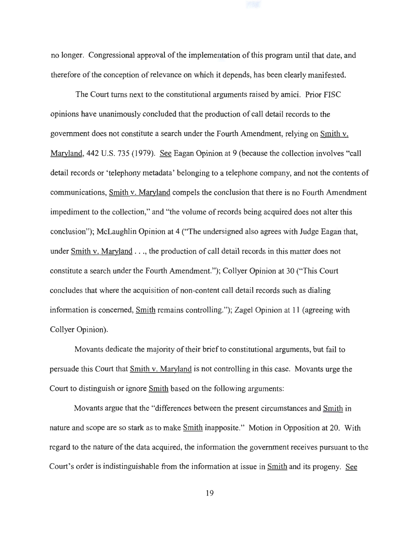no longer. Congressional approval of the implementation of this program until that date, and therefore of the conception of relevance on which it depends, has been clearly manifested.

The Court turns next to the constitutional arguments raised by amici. Prior FISC opinions have unanimously concluded that the production of call detail records to the government does not constitute a search under the Fourth Amendment, relying on Smith v. Maryland, 442 U.S. 735 (1979). See Eagan Opinion at 9 (because the collection involves "call detail records or 'telephony metadata' belonging to a telephone company, and not the contents of communications, Smith v. Maryland compels the conclusion that there is no Fourth Amendment impediment to the collection," and "the volume of records being acquired does not alter this conclusion"); McLaughlin Opinion at 4 ("The undersigned also agrees with Judge Eagan that, under Smith v. Maryland . . ., the production of call detail records in this matter does not constitute a search under the Fourth Amendment."); Collyer Opinion at 30 ("This Court concludes that where the acquisition of non-content call detail records such as dialing information is concerned, Smith remains controlling."); Zagel Opinion at 11 (agreeing with Collyer Opinion).

Movants dedicate the majority of their brief to constitutional arguments, but fail to persuade this Court that Smith v. Maryland is not controlling in this case. Movants urge the Court to distinguish or ignore Smith based on the following arguments:

Movants argue that the "differences between the present circumstances and Smith in nature and scope are so stark as to make **Smith** inapposite." Motion in Opposition at 20. With regard to the nature of the data acquired, the information the government receives pursuant to the Court's order is indistinguishable from the information at issue in Smith and its progeny. See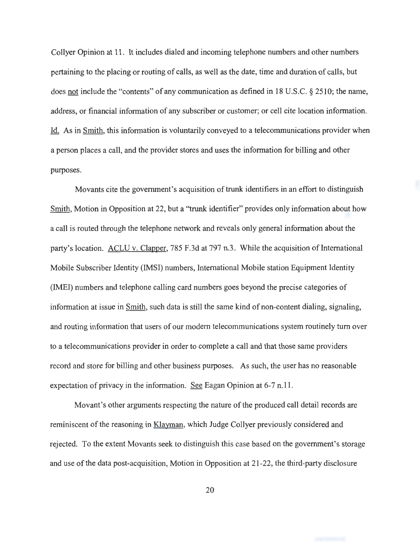Collyer Opinion at 11. It includes dialed and incoming telephone numbers and other numbers pertaining to the placing or routing of calls, as well as the date, time and duration of calls, but does not include the "contents" of any communication as defined in 18 U.S.C. § 2510; the name, address, or financial information of any subscriber or customer; or cell cite location information. Id. As in Smith, this information is voluntarily conveyed to a telecommunications provider when a person places a call, and the provider stores and uses the information for billing and other purposes.

Movants cite the government's acquisition of trunk identifiers in an effort to distinguish Smith, Motion in Opposition at 22, but a "trunk identifier" provides only information about how a call is routed through the telephone network and reveals only general information about the party's location. ACLU v. Clapper, 785 F.3d at 797 n.3. While the acquisition of International Mobile Subscriber Identity (IMSI) numbers, International Mobile station Equipment Identity (IMEI) numbers and telephone calling card numbers goes beyond the precise categories of information at issue in Smith, such data is still the same kind of non-content dialing, signaling, and routing information that users of our modern telecommunications system routinely turn over to a telecommunications provider in order to complete a call and that those same providers record and store for billing and other business purposes. As such, the user has no reasonable expectation of privacy in the information. See Eagan Opinion at 6-7 n.11.

Movant's other arguments respecting the nature of the produced call detail records are reminiscent of the reasoning in Klayman, which Judge Collyer previously considered and rejected. To the extent Movants seek to distinguish this case based on the government's storage and use of the data post-acquisition, Motion in Opposition at 21-22, the third-party disclosure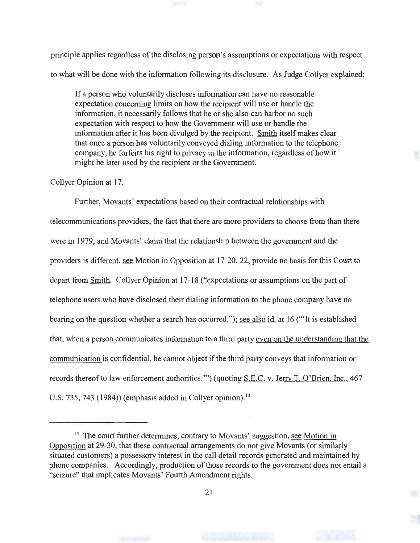principle applies regardless of the disclosing person's assumptions or expectations with respect to what will be done with the information following its disclosure. As Judge Collyer explained:

If a person who voluntarily discloses information can have no reasonable expectation concerning limits on how the recipient will use or handle the information, it necessarily follows that he or she also can harbor no such expectation with respect to how the Government will use or handle the information after it has been divulged by the recipient. Smith itself makes clear that once a person has voluntarily conveyed dialing information to the telephone company, he forfeits his right to privacy in the information, regardless of how it might be later used by the recipient or the Government.

Collyer Opinion at 17.

Further, Movants' expectations based on their contractual relationships with telecommunications providers, the fact that there are more providers to choose from than there were in 1979, and Movants' claim that the relationship between the government and the providers is different, see Motion in Opposition at 17-20, 22, provide no basis for this Court to depart from Smith. Collyer Opinion at 17-18 ("expectations or assumptions on the part of telephone users who have disclosed their dialing information to the phone company have no bearing on the question whether a search has occurred."); see also id. at 16 ("'It is established that, when a person communicates information to a third party even on the understanding that the communication is confidential, he cannot object if the third party conveys that information or records thereof to law enforcement authorities."') (quoting S.E.C. v. Jerry T. O'Brien, Inc., 467 U.S. 735, 743 (1984)) (emphasis added in Collyer opinion).<sup>14</sup>

<sup>&</sup>lt;sup>14</sup> The court further determines, contrary to Movants' suggestion, see Motion in Opposition at 29-30, that these contractual arrangements do not give Movants (or similarly situated customers) a possessory interest in the call detail records generated and maintained by phone companies. Accordingly, production of those records to the government does not entail a "seizure" that implicates Movants' Fourth Amendment rights.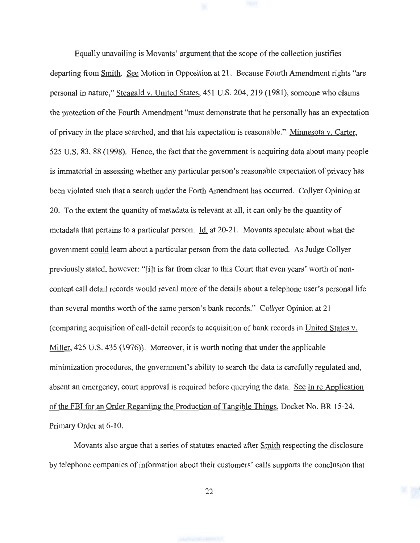Equally unavailing is Movants' argument that the scope of the collection justifies departing from Smith. See Motion in Opposition at 21. Because Fourth Amendment rights "are personal in nature," Steagald v. United States, 451 U.S. 204,219 (1981), someone who claims the protection of the Fourth Amendment "must demonstrate that he personally has an expectation of privacy in the place searched, and that his expectation is reasonable." Minnesota v. Carter, 525 U.S. 83, 88 (1998). Hence, the fact that the government is acquiring data about many people is immaterial in assessing whether any particular person's reasonable expectation of privacy has been violated such that a search under the Forth Amendment has occurred. Collyer Opinion at 20. To the extent the quantity of metadata is relevant at all, it can only be the quantity of metadata that pertains to a particular person. Id. at 20-21. Movants speculate about what the government could learn about a particular person from the data collected. As Judge Collyer previously stated, however: "[i]t is far from clear to this Court that even years' worth of noncontent call detail records would reveal more of the details about a telephone user's personal life than several months worth of the same person's bank records." Collyer Opinion at 21 (comparing acquisition of call-detail records to acquisition of bank records in United States v. Miller, 425 U.S. 435 (1976)). Moreover, it is worth noting that under the applicable minimization procedures, the government's ability to search the data is carefully regulated and, absent an emergency, court approval is required before querying the data. See In re Application of the FBI for an Order Regarding the Production of Tangible Things, Docket No. BR 15-24, Primary Order at 6-10.

Movants also argue that a series of statutes enacted after Smith respecting the disclosure by telephone companies of information about their customers' calls supports the conclusion that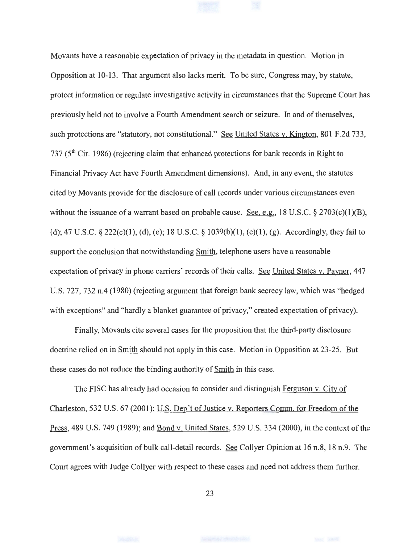Movants have a reasonable expectation of privacy in the metadata in question. Motion in Opposition at 10-13. That argument also lacks merit. To be sure, Congress may, by statute, protect information or regulate investigative activity in circumstances that the Supreme Court has previously held not to involve a Fourth Amendment search or seizure. In and of themselves, such protections are "statutory, not constitutional." See United States v. Kington, 801 F.2d 733, 737 (5<sup>th</sup> Cir. 1986) (rejecting claim that enhanced protections for bank records in Right to Financial Privacy Act have Fourth Amendment dimensions). And, in any event, the statutes cited by Movants provide for the disclosure of call records under various circumstances even without the issuance of a warrant based on probable cause. See, e.g., 18 U.S.C. § 2703(c)(1)(B), (d); 47 U.S.C. § 222(c)(l), (d), (e); 18 U.S.C. § 1039(b)(l), (c)(l), (g). Accordingly, they fail to support the conclusion that notwithstanding Smith, telephone users have a reasonable expectation of privacy in phone carriers' records of their calls. See United States v. Pavner, 447 U.S. 727, 732 n.4 (1980) (rejecting argument that foreign bank secrecy law, which was "hedged with exceptions" and "hardly a blanket guarantee of privacy," created expectation of privacy).

Finally, Movants cite several cases for the proposition that the third-party disclosure doctrine relied on in Smith should not apply in this case. Motion in Opposition at 23-25. But these cases do not reduce the binding authority of Smith in this case.

The FISC has already had occasion to consider and distinguish Ferguson v. City of Charleston, 532 U.S. 67 (2001); U.S. Dep't of Justice v. Reporters Comm. for Freedom of the Press, 489 U.S. 749 (1989); and Bond v. United States, 529 U.S. 334 (2000), in the context of the government's acquisition of bulk call-detail records. See Collyer Opinion at 16 n.8, 18 n.9. The Court agrees with Judge Collyer with respect to these cases and need not address them further.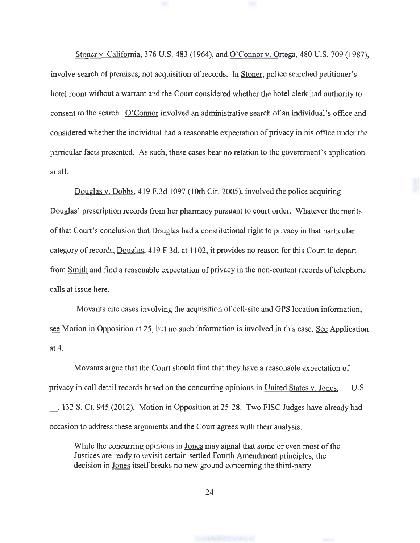Stoner v. California, 376 U.S. 483 (1964), and O'Connor v. Ortega, 480 U.S. 709 (1987), involve search of premises, not acquisition of records. In Stoner, police searched petitioner's hotel room without a warrant and the Court considered whether the hotel clerk had authority to consent to the search. O'Connor involved an administrative search of an individual's office and considered whether the individual had a reasonable expectation of privacy in his office under the particular facts presented. As such, these cases bear no relation to the government's application at all.

Douglas v. Dobbs, 419 F.3d 1097 (10th Cir. 2005), involved the police acquiring Douglas' prescription records from her pharmacy pursuant to court order. Whatever the merits of that Court's conclusion that Douglas had a constitutional right to privacy in that particular category of records, Douglas, 419 F 3d. at 1102, it provides no reason for this Court to depart from Smith and find a reasonable expectation of privacy in the non-content records of telephone calls at issue here.

Movants cite cases involving the acquisition of cell-site and GPS location information, see Motion in Opposition at 25, but no such information is involved in this case. See Application at 4.

Movants argue that the Court should find that they have a reasonable expectation of privacy in call detail records based on the concurring opinions in United States v. Jones, U.S. \_, 132 S. Ct. 945 (2012). Motion in Opposition at 25-28. Two FISC Judges have already had occasion to address these arguments and the Court agrees with their analysis:

While the concurring opinions in Jones may signal that some or even most of the Justices are ready to revisit certain settled Fourth Amendment principles, the decision in Jones itself breaks no new ground concerning the third-party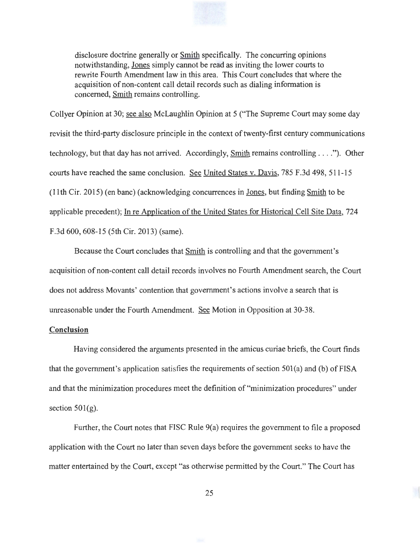

disclosure doctrine generally or Smith specifically. The concurring opinions notwithstanding, Jones simply cannot be read as inviting the lower courts to rewrite Fourth Amendment law in this area. This Court concludes that where the acquisition of non-content call detail records such as dialing information is concerned, Smith remains controlling.

Collyer Opinion at 30; see also McLaughlin Opinion at 5 ("The Supreme Court may some day revisit the third-party disclosure principle in the context of twenty-first century communications technology, but that day has not arrived. Accordingly, Smith remains controlling  $\dots$ "). Other courts have reached the same conclusion. See United States v. Davis, 785 F.3d 498, 511-15 (11th Cir. 2015) (en bane) (acknowledging concurrences in Jones, but finding Smith to be applicable precedent); In re Application of the United States for Historical Cell Site Data, 724 F.3d 600, 608-15 (5th Cir. 2013) (same).

Because the Court concludes that Smith is controlling and that the government's acquisition of non-content call detail records involves no Fourth Amendment search, the Court does not address Movants' contention that government's actions involve a search that is unreasonable under the Fourth Amendment. See Motion in Opposition at 30-38.

### **Conclusion**

Having considered the arguments presented in the amicus curiae briefs, the Court finds that the government's application satisfies the requirements of section  $501(a)$  and (b) of FISA and that the minimization procedures meet the definition of "minimization procedures" under section  $501(g)$ .

Further, the Court notes that FISC Rule 9(a) requires the government to file a proposed application with the Court no later than seven days before the government seeks to have the matter entertained by the Court, except "as otherwise permitted by the Court." The Court has